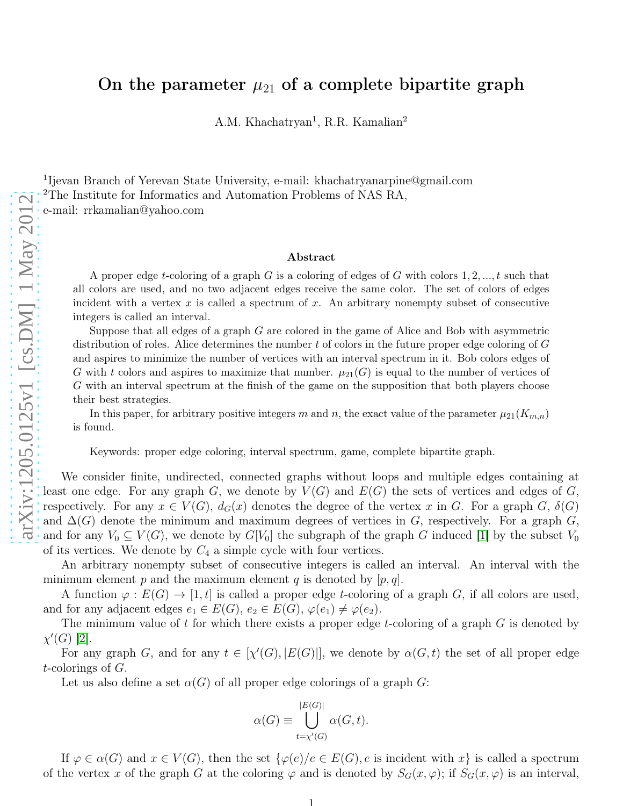## On the parameter  $\mu_{21}$  of a complete bipartite graph

A.M. Khachatryan<sup>1</sup>, R.R. Kamalian<sup>2</sup>

<sup>1</sup>Ijevan Branch of Yerevan State University, e-mail: khachatryanarpine@gmail.com <sup>2</sup>The Institute for Informatics and Automation Problems of NAS RA, e-mail: rrkamalian@yahoo.com

## Abstract

A proper edge *t*-coloring of a graph  $G$  is a coloring of edges of  $G$  with colors  $1, 2, ..., t$  such that all colors are used, and no two adjacent edges receive the same color. The set of colors of edges incident with a vertex  $x$  is called a spectrum of  $x$ . An arbitrary nonempty subset of consecutive integers is called an interval.

Suppose that all edges of a graph G are colored in the game of Alice and Bob with asymmetric distribution of roles. Alice determines the number  $t$  of colors in the future proper edge coloring of  $G$ and aspires to minimize the number of vertices with an interval spectrum in it. Bob colors edges of G with t colors and aspires to maximize that number.  $\mu_{21}(G)$  is equal to the number of vertices of G with an interval spectrum at the finish of the game on the supposition that both players choose their best strategies.

In this paper, for arbitrary positive integers m and n, the exact value of the parameter  $\mu_{21}(K_{m,n})$ is found.

Keywords: proper edge coloring, interval spectrum, game, complete bipartite graph.

We consider finite, undirected, connected graphs without loops and multiple edges containing at least one edge. For any graph G, we denote by  $V(G)$  and  $E(G)$  the sets of vertices and edges of G, respectively. For any  $x \in V(G)$ ,  $d_G(x)$  denotes the degree of the vertex x in G. For a graph G,  $\delta(G)$ and  $\Delta(G)$  denote the minimum and maximum degrees of vertices in G, respectively. For a graph G, and for any  $V_0 \subseteq V(G)$ , we denote by  $G[V_0]$  the subgraph of the graph G induced [\[1\]](#page-3-0) by the subset  $V_0$ of its vertices. We denote by  $C_4$  a simple cycle with four vertices.

An arbitrary nonempty subset of consecutive integers is called an interval. An interval with the minimum element p and the maximum element q is denoted by  $[p, q]$ .

A function  $\varphi: E(G) \to [1, t]$  is called a proper edge t-coloring of a graph G, if all colors are used, and for any adjacent edges  $e_1 \in E(G)$ ,  $e_2 \in E(G)$ ,  $\varphi(e_1) \neq \varphi(e_2)$ .

The minimum value of  $t$  for which there exists a proper edge  $t$ -coloring of a graph  $G$  is denoted by  $\chi'(G)$  [\[2\]](#page-3-1).

For any graph G, and for any  $t \in [\chi'(G), |E(G)|]$ , we denote by  $\alpha(G, t)$  the set of all proper edge t-colorings of G.

Let us also define a set  $\alpha(G)$  of all proper edge colorings of a graph G:

$$
\alpha(G) \equiv \bigcup_{t=\chi'(G)}^{|E(G)|} \alpha(G, t).
$$

If  $\varphi \in \alpha(G)$  and  $x \in V(G)$ , then the set  $\{\varphi(e)/e \in E(G), e \text{ is incident with } x\}$  is called a spectrum of the vertex x of the graph G at the coloring  $\varphi$  and is denoted by  $S_G(x, \varphi)$ ; if  $S_G(x, \varphi)$  is an interval,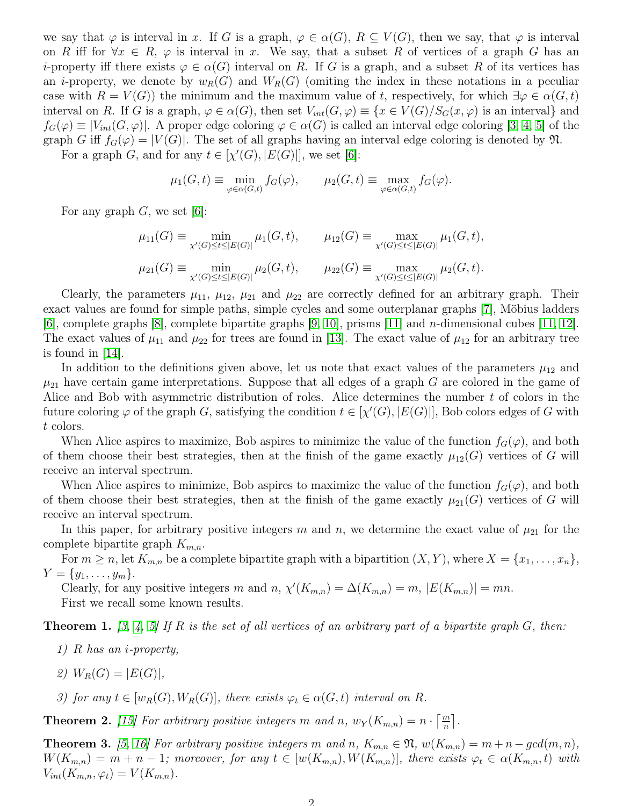we say that  $\varphi$  is interval in x. If G is a graph,  $\varphi \in \alpha(G)$ ,  $R \subseteq V(G)$ , then we say, that  $\varphi$  is interval on R iff for  $\forall x \in R$ ,  $\varphi$  is interval in x. We say, that a subset R of vertices of a graph G has an *i*-property iff there exists  $\varphi \in \alpha(G)$  interval on R. If G is a graph, and a subset R of its vertices has an *i*-property, we denote by  $w_R(G)$  and  $W_R(G)$  (omiting the index in these notations in a peculiar case with  $R = V(G)$ ) the minimum and the maximum value of t, respectively, for which  $\exists \varphi \in \alpha(G, t)$ interval on R. If G is a graph,  $\varphi \in \alpha(G)$ , then set  $V_{int}(G, \varphi) \equiv \{x \in V(G)/S_G(x, \varphi) \text{ is an interval}\}\$ and  $f_G(\varphi) \equiv |V_{int}(G, \varphi)|$ . A proper edge coloring  $\varphi \in \alpha(G)$  is called an interval edge coloring [\[3,](#page-3-2) [4,](#page-3-3) [5\]](#page-3-4) of the graph G iff  $f_G(\varphi) = |V(G)|$ . The set of all graphs having an interval edge coloring is denoted by  $\mathfrak{N}$ .

For a graph G, and for any  $t \in [\chi'(G), |E(G)|]$ , we set [\[6\]](#page-4-0):

$$
\mu_1(G, t) \equiv \min_{\varphi \in \alpha(G, t)} f_G(\varphi), \qquad \mu_2(G, t) \equiv \max_{\varphi \in \alpha(G, t)} f_G(\varphi).
$$

For any graph  $G$ , we set [\[6\]](#page-4-0):

$$
\mu_{11}(G) \equiv \min_{\chi'(G) \le t \le |E(G)|} \mu_1(G, t), \qquad \mu_{12}(G) \equiv \max_{\chi'(G) \le t \le |E(G)|} \mu_1(G, t),
$$
  

$$
\mu_{21}(G) \equiv \min_{\chi'(G) \le t \le |E(G)|} \mu_2(G, t), \qquad \mu_{22}(G) \equiv \max_{\chi'(G) \le t \le |E(G)|} \mu_2(G, t).
$$

Clearly, the parameters  $\mu_{11}$ ,  $\mu_{12}$ ,  $\mu_{21}$  and  $\mu_{22}$  are correctly defined for an arbitrary graph. Their exact values are found for simple paths, simple cycles and some outerplanar graphs [\[7\]](#page-4-1), Möbius ladders [\[6\]](#page-4-0), complete graphs [\[8\]](#page-4-2), complete bipartite graphs [\[9,](#page-4-3) [10\]](#page-4-4), prisms [\[11\]](#page-4-5) and n-dimensional cubes [\[11,](#page-4-5) [12\]](#page-4-6). The exact values of  $\mu_{11}$  and  $\mu_{22}$  for trees are found in [\[13\]](#page-4-7). The exact value of  $\mu_{12}$  for an arbitrary tree is found in [\[14\]](#page-4-8).

In addition to the definitions given above, let us note that exact values of the parameters  $\mu_{12}$  and  $\mu_{21}$  have certain game interpretations. Suppose that all edges of a graph G are colored in the game of Alice and Bob with asymmetric distribution of roles. Alice determines the number  $t$  of colors in the future coloring  $\varphi$  of the graph G, satisfying the condition  $t \in [\chi'(G), |E(G)|]$ , Bob colors edges of G with t colors.

When Alice aspires to maximize, Bob aspires to minimize the value of the function  $f_G(\varphi)$ , and both of them choose their best strategies, then at the finish of the game exactly  $\mu_{12}(G)$  vertices of G will receive an interval spectrum.

When Alice aspires to minimize, Bob aspires to maximize the value of the function  $f_G(\varphi)$ , and both of them choose their best strategies, then at the finish of the game exactly  $\mu_{21}(G)$  vertices of G will receive an interval spectrum.

In this paper, for arbitrary positive integers m and n, we determine the exact value of  $\mu_{21}$  for the complete bipartite graph  $K_{m,n}$ .

For  $m \ge n$ , let  $K_{m,n}$  be a complete bipartite graph with a bipartition  $(X, Y)$ , where  $X = \{x_1, \ldots, x_n\}$ ,  $Y = \{y_1, \ldots, y_m\}.$ 

Clearly, for any positive integers m and n,  $\chi'(K_{m,n}) = \Delta(K_{m,n}) = m$ ,  $|E(K_{m,n})| = mn$ . First we recall some known results.

<span id="page-1-0"></span>**Theorem 1.** [\[3,](#page-3-2) [4,](#page-3-3) [5\]](#page-3-4) If R is the set of all vertices of an arbitrary part of a bipartite graph  $G$ , then:

- 1) R has an i-property,
- 2)  $W_B(G) = |E(G)|$ ,
- 3) for any  $t \in [w_R(G), W_R(G)]$ , there exists  $\varphi_t \in \alpha(G, t)$  interval on R.

<span id="page-1-1"></span>**Theorem 2.** [\[15\]](#page-4-9) For arbitrary positive integers m and n,  $w_Y(K_{m,n}) = n \cdot \left[\frac{m}{n}\right]$ .

**Theorem 3.** [\[5,](#page-3-4) [16\]](#page-4-10) For arbitrary positive integers m and n,  $K_{m,n} \in \mathfrak{N}$ ,  $w(K_{m,n}) = m+n-gcd(m,n)$ ,  $W(K_{m,n}) = m+n-1$ ; moreover, for any  $t \in [w(K_{m,n}), W(K_{m,n})]$ , there exists  $\varphi_t \in \alpha(K_{m,n}, t)$  with  $V_{int}(K_{m,n},\varphi_t)=V(K_{m,n}).$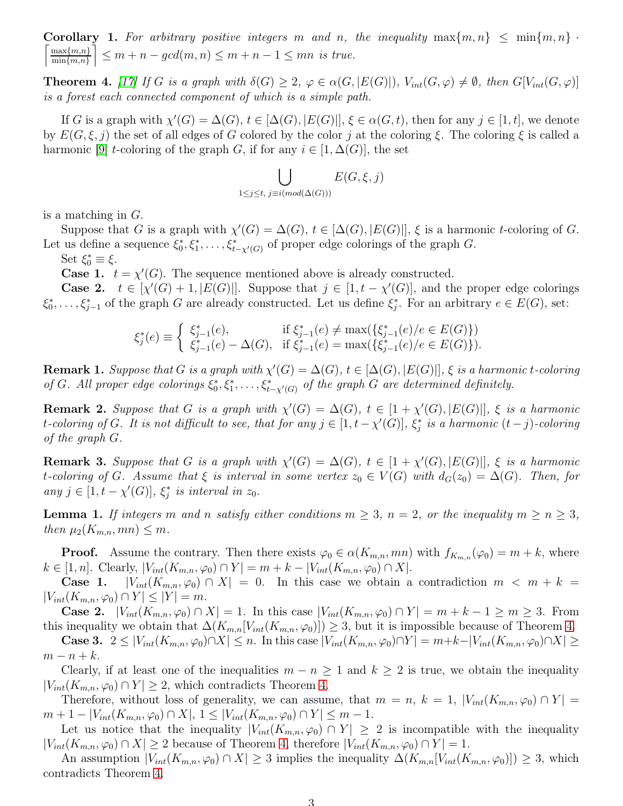<span id="page-2-4"></span>**Corollary 1.** For arbitrary positive integers m and n, the inequality  $\max\{m, n\} \leq \min\{m, n\}$ .  $\lceil \max\{m,n\} \rceil$  $\min\{m,n\}$  $\left\{ \leq m+n-gcd(m,n)\leq m+n-1\leq mn \text{ is true.}\right\}$ 

<span id="page-2-0"></span>**Theorem 4.** [\[17\]](#page-4-11) If G is a graph with  $\delta(G) \geq 2$ ,  $\varphi \in \alpha(G, |E(G)|)$ ,  $V_{int}(G, \varphi) \neq \emptyset$ , then  $G[V_{int}(G, \varphi)]$ is a forest each connected component of which is a simple path.

If G is a graph with  $\chi'(G) = \Delta(G)$ ,  $t \in [\Delta(G), |E(G)|]$ ,  $\xi \in \alpha(G, t)$ , then for any  $j \in [1, t]$ , we denote by  $E(G,\xi, j)$  the set of all edges of G colored by the color j at the coloring  $\xi$ . The coloring  $\xi$  is called a harmonic [\[9\]](#page-4-3) t-coloring of the graph G, if for any  $i \in [1, \Delta(G)]$ , the set

$$
\bigcup_{1 \leq j \leq t, \ j \equiv i (mod (\Delta(G)))} E(G, \xi, j)
$$

is a matching in G.

Suppose that G is a graph with  $\chi'(G) = \Delta(G)$ ,  $t \in [\Delta(G), |E(G)|]$ ,  $\xi$  is a harmonic t-coloring of G. Let us define a sequence  $\xi_0^*, \xi_1^*, \ldots, \xi_{t-\chi'(G)}^*$  of proper edge colorings of the graph G.

Set  $\xi_0^* \equiv \xi$ .

**Case 1.**  $t = \chi'(G)$ . The sequence mentioned above is already constructed.

**Case 2.**  $t \in [\chi'(G) + 1, |E(G)|]$ . Suppose that  $j \in [1, t - \chi'(G)]$ , and the proper edge colorings  $\xi_0^*, \ldots, \xi_{j-1}^*$  of the graph G are already constructed. Let us define  $\xi_j^*$ . For an arbitrary  $e \in E(G)$ , set:

$$
\xi_j^*(e) \equiv \begin{cases} \xi_{j-1}^*(e), & \text{if } \xi_{j-1}^*(e) \neq \max(\{\xi_{j-1}^*(e)/e \in E(G)\}) \\ \xi_{j-1}^*(e) - \Delta(G), & \text{if } \xi_{j-1}^*(e) = \max(\{\xi_{j-1}^*(e)/e \in E(G)\}). \end{cases}
$$

<span id="page-2-2"></span>**Remark 1.** Suppose that G is a graph with  $\chi'(G) = \Delta(G)$ ,  $t \in [\Delta(G), |E(G)|]$ ,  $\xi$  is a harmonic t-coloring of G. All proper edge colorings  $\xi_0^*, \xi_1^*, \ldots, \xi_{t-\chi'(G)}^*$  of the graph G are determined definitely.

**Remark 2.** Suppose that G is a graph with  $\chi'(G) = \Delta(G)$ ,  $t \in [1 + \chi'(G), |E(G)|]$ ,  $\xi$  is a harmonic t-coloring of G. It is not difficult to see, that for any  $j \in [1, t - \chi'(G)], \, \xi_j^*$  is a harmonic  $(t-j)$ -coloring of the graph G.

<span id="page-2-3"></span>**Remark 3.** Suppose that G is a graph with  $\chi'(G) = \Delta(G)$ ,  $t \in [1 + \chi'(G), |E(G)|]$ ,  $\xi$  is a harmonic t-coloring of G. Assume that  $\xi$  is interval in some vertex  $z_0 \in V(G)$  with  $d_G(z_0) = \Delta(G)$ . Then, for any  $j \in [1, t - \chi'(G)], \xi_j^*$  is interval in  $z_0$ .

<span id="page-2-1"></span>**Lemma 1.** If integers m and n satisfy either conditions  $m \geq 3$ ,  $n = 2$ , or the inequality  $m \geq n \geq 3$ , then  $\mu_2(K_{m,n}, mn) \leq m$ .

**Proof.** Assume the contrary. Then there exists  $\varphi_0 \in \alpha(K_{m,n}, mn)$  with  $f_{K_{m,n}}(\varphi_0) = m + k$ , where  $k \in [1, n]$ . Clearly,  $|V_{int}(K_{m,n}, \varphi_0) \cap Y| = m + k - |V_{int}(K_{m,n}, \varphi_0) \cap X|$ .

**Case 1.**  $|V_{int}(K_{m,n}, \varphi_0) \cap X| = 0$ . In this case we obtain a contradiction  $m < m + k =$  $|V_{int}(K_{m,n}, \varphi_0) \cap Y| \leq |Y| = m.$ 

**Case 2.**  $|V_{int}(K_{m,n}, \varphi_0) \cap X| = 1$ . In this case  $|V_{int}(K_{m,n}, \varphi_0) \cap Y| = m + k - 1 \ge m \ge 3$ . From this inequality we obtain that  $\Delta(K_{m,n}[V_{int}(K_{m,n}, \varphi_0)]) \geq 3$ , but it is impossible because of Theorem [4.](#page-2-0)

**Case 3.**  $2 \leq |V_{int}(K_{m,n}, \varphi_0) \cap X| \leq n$ . In this case  $|V_{int}(K_{m,n}, \varphi_0) \cap Y| = m+k-|V_{int}(K_{m,n}, \varphi_0) \cap X| \geq$  $m-n+k$ .

Clearly, if at least one of the inequalities  $m - n \geq 1$  and  $k \geq 2$  is true, we obtain the inequality  $|V_{int}(K_{m,n}, \varphi_0) \cap Y| \geq 2$ , which contradicts Theorem [4.](#page-2-0)

Therefore, without loss of generality, we can assume, that  $m = n$ ,  $k = 1$ ,  $|V_{int}(K_{m,n}, \varphi_0) \cap Y|$  $m + 1 - |V_{int}(K_{m,n}, \varphi_0) \cap X|, 1 \leq |V_{int}(K_{m,n}, \varphi_0) \cap Y| \leq m - 1.$ 

Let us notice that the inequality  $|V_{int}(K_{m,n}, \varphi_0) \cap Y| \geq 2$  is incompatible with the inequality  $|V_{int}(K_{m,n}, \varphi_0) \cap X| \geq 2$  because of Theorem [4,](#page-2-0) therefore  $|V_{int}(K_{m,n}, \varphi_0) \cap Y| = 1$ .

An assumption  $|V_{int}(K_{m,n}, \varphi_0) \cap X| \geq 3$  implies the inequality  $\Delta(K_{m,n}[V_{int}(K_{m,n}, \varphi_0)]) \geq 3$ , which contradicts Theorem [4.](#page-2-0)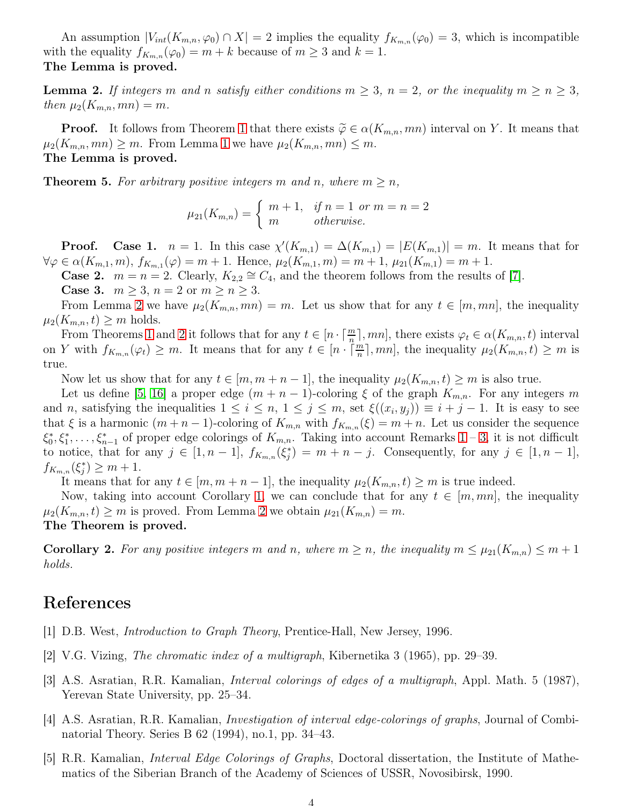An assumption  $|V_{int}(K_{m,n}, \varphi_0) \cap X| = 2$  implies the equality  $f_{K_{m,n}}(\varphi_0) = 3$ , which is incompatible with the equality  $f_{K_{m,n}}(\varphi_0) = m + k$  because of  $m \geq 3$  and  $k = 1$ . The Lemma is proved.

<span id="page-3-5"></span>**Lemma 2.** If integers m and n satisfy either conditions  $m \geq 3$ ,  $n = 2$ , or the inequality  $m \geq n \geq 3$ , then  $\mu_2(K_{m,n}, mn) = m$ .

**Proof.** It follows from Theorem [1](#page-1-0) that there exists  $\widetilde{\varphi} \in \alpha(K_{m,n}, mn)$  interval on Y. It means that  $\mu_2(K_{m,n}, mn) \geq m$ . From Lemma [1](#page-2-1) we have  $\mu_2(K_{m,n}, mn) \leq m$ . The Lemma is proved.

**Theorem 5.** For arbitrary positive integers m and n, where  $m \geq n$ ,

$$
\mu_{21}(K_{m,n}) = \begin{cases} m+1, & \text{if } n = 1 \text{ or } m = n = 2\\ m & \text{otherwise.} \end{cases}
$$

**Proof.** Case 1.  $n = 1$ . In this case  $\chi'(K_{m,1}) = \Delta(K_{m,1}) = |E(K_{m,1})| = m$ . It means that for  $\forall \varphi \in \alpha(K_{m,1}, m), f_{K_{m,1}}(\varphi) = m + 1$ . Hence,  $\mu_2(K_{m,1}, m) = m + 1$ ,  $\mu_{21}(K_{m,1}) = m + 1$ .

**Case 2.**  $m = n = 2$ . Clearly,  $K_{2,2} \cong C_4$ , and the theorem follows from the results of [\[7\]](#page-4-1).

**Case 3.**  $m \geq 3$ ,  $n = 2$  or  $m \geq n \geq 3$ .

From Lemma [2](#page-3-5) we have  $\mu_2(K_{m,n}, mn) = m$ . Let us show that for any  $t \in [m, mn]$ , the inequality  $\mu_2(K_{m,n}, t) \geq m$  holds.

From Theorems [1](#page-1-0) and [2](#page-1-1) it follows that for any  $t \in [n \cdot \lceil \frac{m}{n} \rceil, mn]$ , there exists  $\varphi_t \in \alpha(K_{m,n}, t)$  interval on Y with  $f_{K_{m,n}}(\varphi_t) \geq m$ . It means that for any  $t \in [n \cdot \lceil \frac{m}{n} \rceil, mn]$ , the inequality  $\mu_2(K_{m,n}, t) \geq m$  is true.

Now let us show that for any  $t \in [m, m+n-1]$ , the inequality  $\mu_2(K_{m,n}, t) \geq m$  is also true.

Let us define [\[5,](#page-3-4) [16\]](#page-4-10) a proper edge  $(m + n - 1)$ -coloring  $\xi$  of the graph  $K_{m,n}$ . For any integers m and n, satisfying the inequalities  $1 \leq i \leq n, 1 \leq j \leq m$ , set  $\xi((x_i, y_j)) \equiv i + j - 1$ . It is easy to see that  $\xi$  is a harmonic  $(m+n-1)$ -coloring of  $K_{m,n}$  with  $f_{K_{m,n}}(\xi) = m+n$ . Let us consider the sequence  $\xi_0^*, \xi_1^*, \ldots, \xi_{n-1}^*$  of proper edge colorings of  $K_{m,n}$ . Taking into account Remarks  $1-3$ , it is not difficult to notice, that for any  $j \in [1, n-1]$ ,  $f_{K_{m,n}}(\xi_j^*) = m + n - j$ . Consequently, for any  $j \in [1, n-1]$ ,  $f_{K_{m,n}}(\xi_j^*) \geq m+1.$ 

It means that for any  $t \in [m, m+n-1]$ , the inequality  $\mu_2(K_{m,n}, t) \geq m$  is true indeed.

Now, taking into account Corollary [1,](#page-2-4) we can conclude that for any  $t \in [m, mn]$ , the inequality  $\mu_2(K_{m,n}, t) \geq m$  is proved. From Lemma [2](#page-3-5) we obtain  $\mu_{21}(K_{m,n}) = m$ . The Theorem is proved.

**Corollary 2.** For any positive integers m and n, where  $m \ge n$ , the inequality  $m \le \mu_{21}(K_{m,n}) \le m+1$ holds.

## <span id="page-3-0"></span>References

- <span id="page-3-1"></span>[1] D.B. West, Introduction to Graph Theory, Prentice-Hall, New Jersey, 1996.
- <span id="page-3-2"></span>[2] V.G. Vizing, The chromatic index of a multigraph, Kibernetika 3 (1965), pp. 29–39.
- [3] A.S. Asratian, R.R. Kamalian, Interval colorings of edges of a multigraph, Appl. Math. 5 (1987), Yerevan State University, pp. 25–34.
- <span id="page-3-3"></span>[4] A.S. Asratian, R.R. Kamalian, Investigation of interval edge-colorings of graphs, Journal of Combinatorial Theory. Series B 62 (1994), no.1, pp. 34–43.
- <span id="page-3-4"></span>[5] R.R. Kamalian, Interval Edge Colorings of Graphs, Doctoral dissertation, the Institute of Mathematics of the Siberian Branch of the Academy of Sciences of USSR, Novosibirsk, 1990.